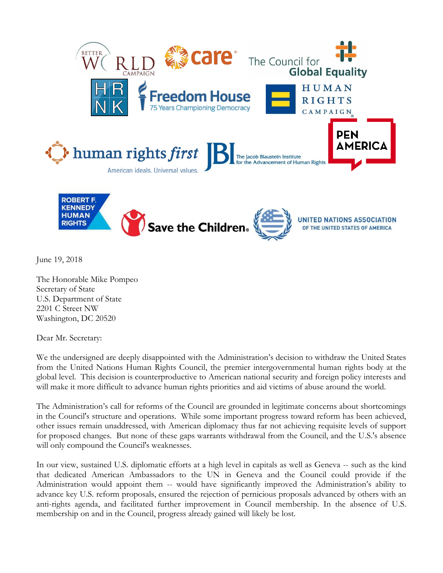

June 19, 2018

The Honorable Mike Pompeo Secretary of State U.S. Department of State 2201 C Street NW Washington, DC 20520

Dear Mr. Secretary:

We the undersigned are deeply disappointed with the Administration's decision to withdraw the United States from the United Nations Human Rights Council, the premier intergovernmental human rights body at the global level. This decision is counterproductive to American national security and foreign policy interests and will make it more difficult to advance human rights priorities and aid victims of abuse around the world.

The Administration's call for reforms of the Council are grounded in legitimate concerns about shortcomings in the Council's structure and operations. While some important progress toward reform has been achieved, other issues remain unaddressed, with American diplomacy thus far not achieving requisite levels of support for proposed changes. But none of these gaps warrants withdrawal from the Council, and the U.S.'s absence will only compound the Council's weaknesses.

In our view, sustained U.S. diplomatic efforts at a high level in capitals as well as Geneva -- such as the kind that dedicated American Ambassadors to the UN in Geneva and the Council could provide if the Administration would appoint them -- would have significantly improved the Administration's ability to advance key U.S. reform proposals, ensured the rejection of pernicious proposals advanced by others with an anti-rights agenda, and facilitated further improvement in Council membership. In the absence of U.S. membership on and in the Council, progress already gained will likely be lost.